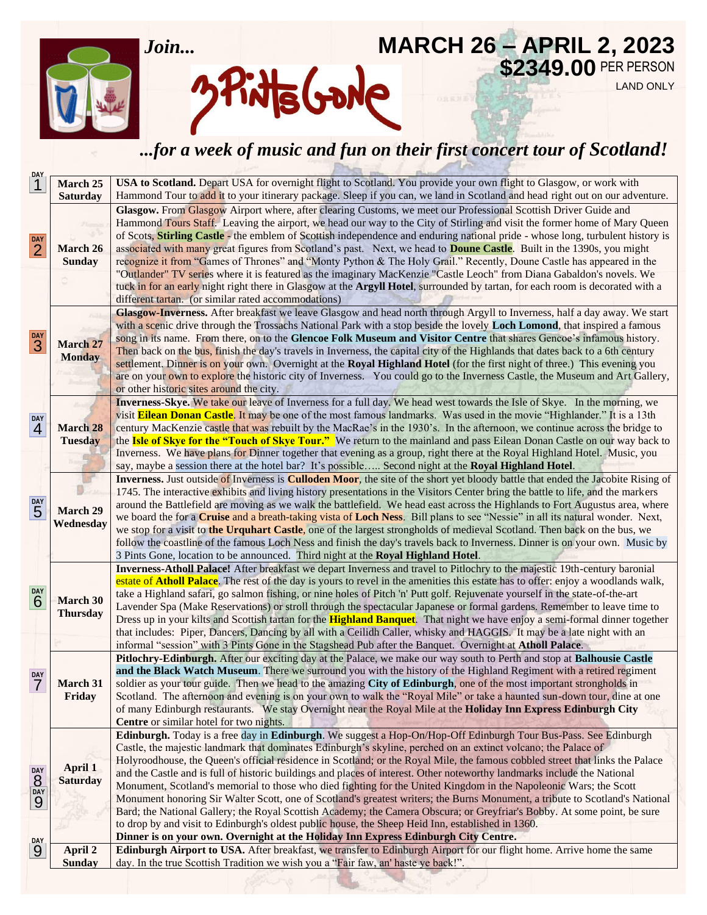

# **MARCH 26 – APRIL 2, 2023** \$2349.00 PER PERSON **Pints Gorde**

LAND ONLY

## *...for a week of music and fun on their first concert tour of Scotland!*

| March 25<br><b>Saturday</b><br>Glasgow. From Glasgow Airport where, after clearing Customs, we meet our Professional Scottish Driver Guide and<br>DAY<br>$\overline{2}$<br><b>March 26</b><br><b>Sunday</b><br>different tartan. (or similar rated accommodations)<br><b>DAY</b><br>3<br><b>March 27</b><br><b>Monday</b><br>or other historic sites around the city.<br>DAY<br><b>March 28</b><br>$\overline{4}$<br><b>Tuesday</b><br>say, maybe a session there at the hotel bar? It's possible Second night at the Royal Highland Hotel.<br><b>DAY</b><br>5<br>March 29<br>Wednesday<br>3 Pints Gone, location to be announced. Third night at the Royal Highland Hotel.<br>DAY<br>March 30<br>6<br><b>Thursday</b><br>informal "session" with 3 Pints Gone in the Stagshead Pub after the Banquet. Overnight at Atholl Palace.<br><b>DAY</b><br><b>March 31</b><br>Friday<br>Centre or similar hotel for two nights.<br>Edinburgh. Today is a free day in Edinburgh. We suggest a Hop-On/Hop-Off Edinburgh Tour Bus-Pass. See Edinburgh<br>Castle, the majestic landmark that dominates Edinburgh's skyline, perched on an extinct volcano; the Palace of<br>April 1<br>DAY<br>8<br><b>Saturday</b><br>DAY<br>9 |                             |                                                                                                                                                                                                                                                                                                                                                                                                                                                                                                                                                                                                                                                                                                                                                                                                           |  |
|---------------------------------------------------------------------------------------------------------------------------------------------------------------------------------------------------------------------------------------------------------------------------------------------------------------------------------------------------------------------------------------------------------------------------------------------------------------------------------------------------------------------------------------------------------------------------------------------------------------------------------------------------------------------------------------------------------------------------------------------------------------------------------------------------------------------------------------------------------------------------------------------------------------------------------------------------------------------------------------------------------------------------------------------------------------------------------------------------------------------------------------------------------------------------------------------------------------------|-----------------------------|-----------------------------------------------------------------------------------------------------------------------------------------------------------------------------------------------------------------------------------------------------------------------------------------------------------------------------------------------------------------------------------------------------------------------------------------------------------------------------------------------------------------------------------------------------------------------------------------------------------------------------------------------------------------------------------------------------------------------------------------------------------------------------------------------------------|--|
|                                                                                                                                                                                                                                                                                                                                                                                                                                                                                                                                                                                                                                                                                                                                                                                                                                                                                                                                                                                                                                                                                                                                                                                                                     | $\overline{1}^{\text{day}}$ | USA to Scotland. Depart USA for overnight flight to Scotland. You provide your own flight to Glasgow, or work with<br>Hammond Tour to add it to your itinerary package. Sleep if you can, we land in Scotland and head right out on our adventure.                                                                                                                                                                                                                                                                                                                                                                                                                                                                                                                                                        |  |
|                                                                                                                                                                                                                                                                                                                                                                                                                                                                                                                                                                                                                                                                                                                                                                                                                                                                                                                                                                                                                                                                                                                                                                                                                     |                             | Hammond Tours Staff. Leaving the airport, we head our way to the City of Stirling and visit the former home of Mary Queen<br>of Scots, <b>Stirling Castle</b> - the emblem of Scottish independence and enduring national pride - whose long, turbulent history is<br>associated with many great figures from Scotland's past. Next, we head to <b>Doune Castle</b> . Built in the 1390s, you might<br>recognize it from "Games of Thrones" and "Monty Python & The Holy Grail." Recently, Doune Castle has appeared in the<br>"Outlander" TV series where it is featured as the imaginary MacKenzie "Castle Leoch" from Diana Gabaldon's novels. We<br>tuck in for an early night right there in Glasgow at the Argyll Hotel, surrounded by tartan, for each room is decorated with a                    |  |
|                                                                                                                                                                                                                                                                                                                                                                                                                                                                                                                                                                                                                                                                                                                                                                                                                                                                                                                                                                                                                                                                                                                                                                                                                     |                             | Glasgow-Inverness. After breakfast we leave Glasgow and head north through Argyll to Inverness, half a day away. We start<br>with a scenic drive through the Trossachs National Park with a stop beside the lovely Loch Lomond, that inspired a famous<br>song in its name. From there, on to the Glencoe Folk Museum and Visitor Centre that shares Gencoe's infamous history.<br>Then back on the bus, finish the day's travels in Inverness, the capital city of the Highlands that dates back to a 6th century<br>settlement. Dinner is on your own. Overnight at the Royal Highland Hotel (for the first night of three.) This evening you<br>are on your own to explore the historic city of Inverness. You could go to the Inverness Castle, the Museum and Art Gallery,                           |  |
|                                                                                                                                                                                                                                                                                                                                                                                                                                                                                                                                                                                                                                                                                                                                                                                                                                                                                                                                                                                                                                                                                                                                                                                                                     |                             | Inverness-Skye. We take our leave of Inverness for a full day. We head west towards the Isle of Skye. In the morning, we<br>visit <b>Eilean Donan Castle</b> . It may be one of the most famous landmarks. Was used in the movie "Highlander." It is a 13th<br>century MacKenzie castle that was rebuilt by the MacRae's in the 1930's. In the afternoon, we continue across the bridge to<br>the <b>Isle of Skye for the "Touch of Skye Tour."</b> We return to the mainland and pass Eilean Donan Castle on our way back to<br>Inverness. We have plans for Dinner together that evening as a group, right there at the Royal Highland Hotel. Music, you                                                                                                                                                |  |
|                                                                                                                                                                                                                                                                                                                                                                                                                                                                                                                                                                                                                                                                                                                                                                                                                                                                                                                                                                                                                                                                                                                                                                                                                     |                             | Inverness. Just outside of Inverness is Culloden Moor, the site of the short yet bloody battle that ended the Jacobite Rising of<br>1745. The interactive exhibits and living history presentations in the Visitors Center bring the battle to life, and the markers<br>around the Battlefield are moving as we walk the battlefield. We head east across the Highlands to Fort Augustus area, where<br>we board the for a <b>Cruise</b> and a breath-taking vista of Loch Ness. Bill plans to see "Nessie" in all its natural wonder. Next,<br>we stop for a visit to the Urquhart Castle, one of the largest strongholds of medieval Scotland. Then back on the bus, we<br>follow the coastline of the famous Loch Ness and finish the day's travels back to Inverness. Dinner is on your own. Music by |  |
|                                                                                                                                                                                                                                                                                                                                                                                                                                                                                                                                                                                                                                                                                                                                                                                                                                                                                                                                                                                                                                                                                                                                                                                                                     |                             | Inverness-Atholl Palace! After breakfast we depart Inverness and travel to Pitlochry to the majestic 19th-century baronial<br>estate of <b>Atholl Palace</b> . The rest of the day is yours to revel in the amenities this estate has to offer: enjoy a woodlands walk,<br>take a Highland safari, go salmon fishing, or nine holes of Pitch 'n' Putt golf. Rejuvenate yourself in the state-of-the-art<br>Lavender Spa (Make Reservations) or stroll through the spectacular Japanese or formal gardens. Remember to leave time to<br>Dress up in your kilts and Scottish tartan for the Highland Banquet. That night we have enjoy a semi-formal dinner together<br>that includes: Piper, Dancers, Dancing by all with a Ceilidh Caller, whisky and HAGGIS. It may be a late night with an              |  |
|                                                                                                                                                                                                                                                                                                                                                                                                                                                                                                                                                                                                                                                                                                                                                                                                                                                                                                                                                                                                                                                                                                                                                                                                                     | DAY                         | Pitlochry-Edinburgh. After our exciting day at the Palace, we make our way south to Perth and stop at Balhousie Castle<br>and the Black Watch Museum. There we surround you with the history of the Highland Regiment with a retired regiment<br>soldier as your tour guide. Then we head to the amazing City of Edinburgh, one of the most important strongholds in<br>Scotland. The afternoon and evening is on your own to walk the "Royal Mile" or take a haunted sun-down tour, dine at one<br>of many Edinburgh restaurants. We stay Overnight near the Royal Mile at the Holiday Inn Express Edinburgh City                                                                                                                                                                                        |  |
|                                                                                                                                                                                                                                                                                                                                                                                                                                                                                                                                                                                                                                                                                                                                                                                                                                                                                                                                                                                                                                                                                                                                                                                                                     |                             | Holyroodhouse, the Queen's official residence in Scotland; or the Royal Mile, the famous cobbled street that links the Palace<br>and the Castle and is full of historic buildings and places of interest. Other noteworthy landmarks include the National<br>Monument, Scotland's memorial to those who died fighting for the United Kingdom in the Napoleonic Wars; the Scott<br>Monument honoring Sir Walter Scott, one of Scotland's greatest writers; the Burns Monument, a tribute to Scotland's National<br>Bard; the National Gallery; the Royal Scottish Academy; the Camera Obscura; or Greyfriar's Bobby. At some point, be sure<br>to drop by and visit to Edinburgh's oldest public house, the Sheep Heid Inn, established in 1360.                                                           |  |
| Dinner is on your own. Overnight at the Holiday Inn Express Edinburgh City Centre.                                                                                                                                                                                                                                                                                                                                                                                                                                                                                                                                                                                                                                                                                                                                                                                                                                                                                                                                                                                                                                                                                                                                  |                             |                                                                                                                                                                                                                                                                                                                                                                                                                                                                                                                                                                                                                                                                                                                                                                                                           |  |
| April 2<br>9<br>day. In the true Scottish Tradition we wish you a "Fair faw, an' haste ye back!".<br><b>Sunday</b>                                                                                                                                                                                                                                                                                                                                                                                                                                                                                                                                                                                                                                                                                                                                                                                                                                                                                                                                                                                                                                                                                                  |                             | Edinburgh Airport to USA. After breakfast, we transfer to Edinburgh Airport for our flight home. Arrive home the same                                                                                                                                                                                                                                                                                                                                                                                                                                                                                                                                                                                                                                                                                     |  |